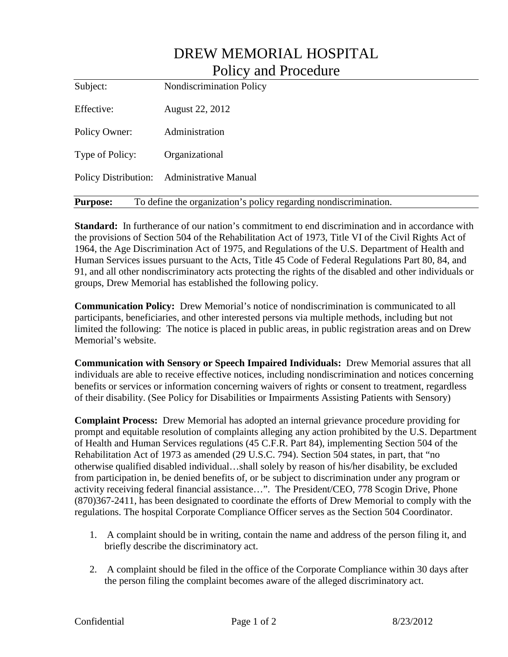| Policy and Procedure                                                                |                                 |
|-------------------------------------------------------------------------------------|---------------------------------|
| Subject:                                                                            | <b>Nondiscrimination Policy</b> |
| Effective:                                                                          | August 22, 2012                 |
| Policy Owner:                                                                       | Administration                  |
| Type of Policy:                                                                     | Organizational                  |
| Policy Distribution:                                                                | <b>Administrative Manual</b>    |
| To define the organization's policy regarding nondiscrimination.<br><b>Purpose:</b> |                                 |

DREW MEMORIAL HOSPITAL

**Standard:** In furtherance of our nation's commitment to end discrimination and in accordance with the provisions of Section 504 of the Rehabilitation Act of 1973, Title VI of the Civil Rights Act of 1964, the Age Discrimination Act of 1975, and Regulations of the U.S. Department of Health and Human Services issues pursuant to the Acts, Title 45 Code of Federal Regulations Part 80, 84, and 91, and all other nondiscriminatory acts protecting the rights of the disabled and other individuals or groups, Drew Memorial has established the following policy.

**Communication Policy:** Drew Memorial's notice of nondiscrimination is communicated to all participants, beneficiaries, and other interested persons via multiple methods, including but not limited the following: The notice is placed in public areas, in public registration areas and on Drew Memorial's website.

**Communication with Sensory or Speech Impaired Individuals:** Drew Memorial assures that all individuals are able to receive effective notices, including nondiscrimination and notices concerning benefits or services or information concerning waivers of rights or consent to treatment, regardless of their disability. (See Policy for Disabilities or Impairments Assisting Patients with Sensory)

**Complaint Process:** Drew Memorial has adopted an internal grievance procedure providing for prompt and equitable resolution of complaints alleging any action prohibited by the U.S. Department of Health and Human Services regulations (45 C.F.R. Part 84), implementing Section 504 of the Rehabilitation Act of 1973 as amended (29 U.S.C. 794). Section 504 states, in part, that "no otherwise qualified disabled individual…shall solely by reason of his/her disability, be excluded from participation in, be denied benefits of, or be subject to discrimination under any program or activity receiving federal financial assistance…". The President/CEO, 778 Scogin Drive, Phone (870)367-2411, has been designated to coordinate the efforts of Drew Memorial to comply with the regulations. The hospital Corporate Compliance Officer serves as the Section 504 Coordinator.

- 1. A complaint should be in writing, contain the name and address of the person filing it, and briefly describe the discriminatory act.
- 2. A complaint should be filed in the office of the Corporate Compliance within 30 days after the person filing the complaint becomes aware of the alleged discriminatory act.